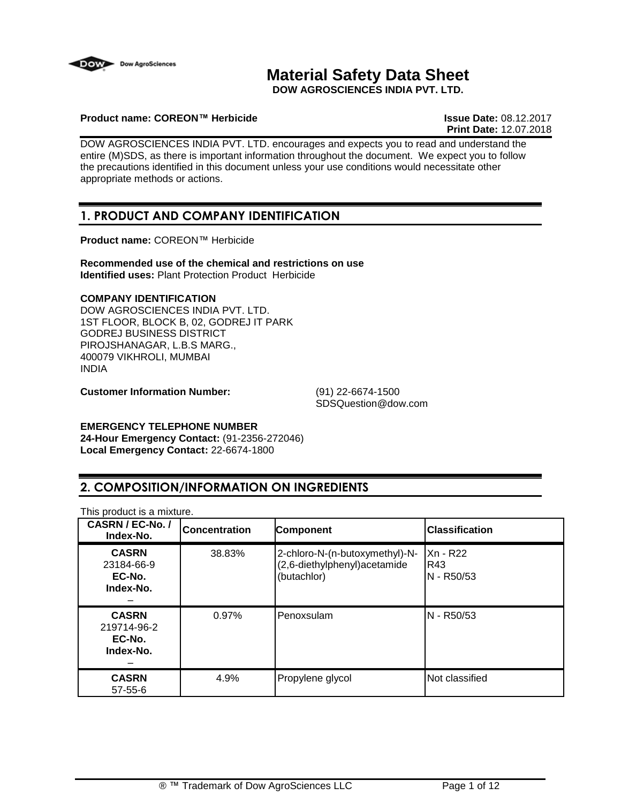

# **Material Safety Data Sheet**

**DOW AGROSCIENCES INDIA PVT. LTD.**

## **Product name: COREON™ Herbicide Issue Date:** 08.12.2017

**Print Date:** 12.07.2018

DOW AGROSCIENCES INDIA PVT. LTD. encourages and expects you to read and understand the entire (M)SDS, as there is important information throughout the document. We expect you to follow the precautions identified in this document unless your use conditions would necessitate other appropriate methods or actions.

## **1. PRODUCT AND COMPANY IDENTIFICATION**

**Product name:** COREON™ Herbicide

**Recommended use of the chemical and restrictions on use Identified uses:** Plant Protection Product Herbicide

## **COMPANY IDENTIFICATION**

DOW AGROSCIENCES INDIA PVT. LTD. 1ST FLOOR, BLOCK B, 02, GODREJ IT PARK GODREJ BUSINESS DISTRICT PIROJSHANAGAR, L.B.S MARG., 400079 VIKHROLI, MUMBAI INDIA

**Customer Information Number:** (91) 22-6674-1500

SDSQuestion@dow.com

## **EMERGENCY TELEPHONE NUMBER**

**24-Hour Emergency Contact:** (91-2356-272046) **Local Emergency Contact:** 22-6674-1800

## **2. COMPOSITION/INFORMATION ON INGREDIENTS**

| CASRN / EC-No. /<br>Index-No.                      | <b>Concentration</b> | <b>Component</b>                                                               | <b>Classification</b>         |
|----------------------------------------------------|----------------------|--------------------------------------------------------------------------------|-------------------------------|
| <b>CASRN</b><br>23184-66-9<br>EC-No.<br>Index-No.  | 38.83%               | 2-chloro-N-(n-butoxymethyl)-N-<br>(2,6-diethylphenyl) acetamide<br>(butachlor) | Xn - R22<br>R43<br>N - R50/53 |
| <b>CASRN</b><br>219714-96-2<br>EC-No.<br>Index-No. | 0.97%                | Penoxsulam                                                                     | N - R50/53                    |
| <b>CASRN</b><br>$57 - 55 - 6$                      | 4.9%                 | Propylene glycol                                                               | Not classified                |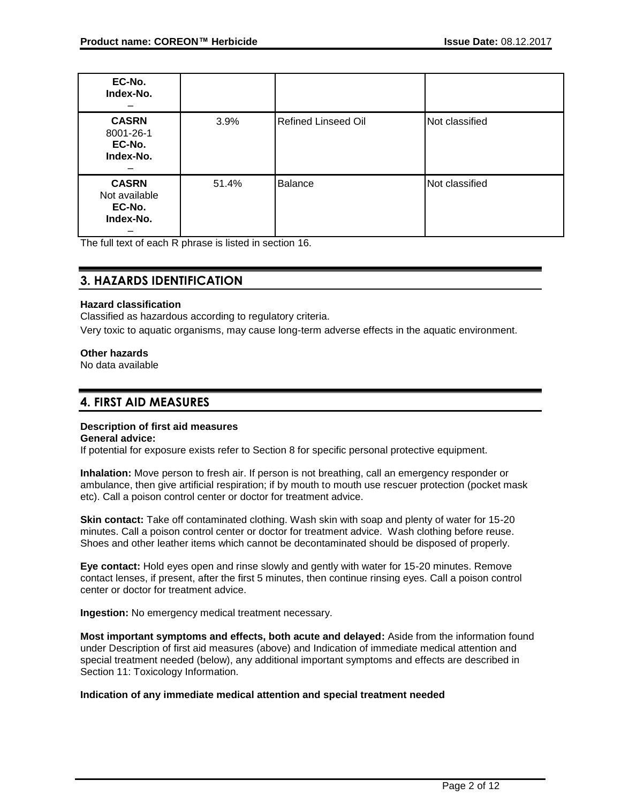| EC-No.<br>Index-No.                                  |       |                            |                |
|------------------------------------------------------|-------|----------------------------|----------------|
| <b>CASRN</b><br>8001-26-1<br>EC-No.<br>Index-No.     | 3.9%  | <b>Refined Linseed Oil</b> | Not classified |
| <b>CASRN</b><br>Not available<br>EC-No.<br>Index-No. | 51.4% | <b>Balance</b>             | Not classified |

The full text of each R phrase is listed in section 16.

## **3. HAZARDS IDENTIFICATION**

## **Hazard classification**

Classified as hazardous according to regulatory criteria.

Very toxic to aquatic organisms, may cause long-term adverse effects in the aquatic environment.

## **Other hazards**

No data available

## **4. FIRST AID MEASURES**

## **Description of first aid measures**

## **General advice:**

If potential for exposure exists refer to Section 8 for specific personal protective equipment.

**Inhalation:** Move person to fresh air. If person is not breathing, call an emergency responder or ambulance, then give artificial respiration; if by mouth to mouth use rescuer protection (pocket mask etc). Call a poison control center or doctor for treatment advice.

**Skin contact:** Take off contaminated clothing. Wash skin with soap and plenty of water for 15-20 minutes. Call a poison control center or doctor for treatment advice. Wash clothing before reuse. Shoes and other leather items which cannot be decontaminated should be disposed of properly.

**Eye contact:** Hold eyes open and rinse slowly and gently with water for 15-20 minutes. Remove contact lenses, if present, after the first 5 minutes, then continue rinsing eyes. Call a poison control center or doctor for treatment advice.

**Ingestion:** No emergency medical treatment necessary.

**Most important symptoms and effects, both acute and delayed:** Aside from the information found under Description of first aid measures (above) and Indication of immediate medical attention and special treatment needed (below), any additional important symptoms and effects are described in Section 11: Toxicology Information.

## **Indication of any immediate medical attention and special treatment needed**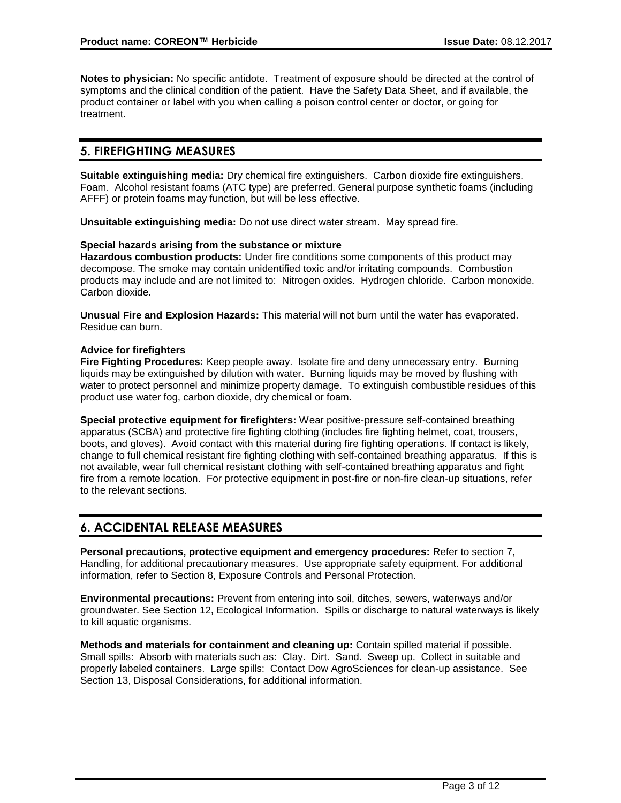**Notes to physician:** No specific antidote. Treatment of exposure should be directed at the control of symptoms and the clinical condition of the patient. Have the Safety Data Sheet, and if available, the product container or label with you when calling a poison control center or doctor, or going for treatment.

## **5. FIREFIGHTING MEASURES**

**Suitable extinguishing media:** Dry chemical fire extinguishers. Carbon dioxide fire extinguishers. Foam. Alcohol resistant foams (ATC type) are preferred. General purpose synthetic foams (including AFFF) or protein foams may function, but will be less effective.

**Unsuitable extinguishing media:** Do not use direct water stream. May spread fire.

## **Special hazards arising from the substance or mixture**

**Hazardous combustion products:** Under fire conditions some components of this product may decompose. The smoke may contain unidentified toxic and/or irritating compounds. Combustion products may include and are not limited to: Nitrogen oxides. Hydrogen chloride. Carbon monoxide. Carbon dioxide.

**Unusual Fire and Explosion Hazards:** This material will not burn until the water has evaporated. Residue can burn.

## **Advice for firefighters**

**Fire Fighting Procedures:** Keep people away. Isolate fire and deny unnecessary entry. Burning liquids may be extinguished by dilution with water. Burning liquids may be moved by flushing with water to protect personnel and minimize property damage. To extinguish combustible residues of this product use water fog, carbon dioxide, dry chemical or foam.

**Special protective equipment for firefighters:** Wear positive-pressure self-contained breathing apparatus (SCBA) and protective fire fighting clothing (includes fire fighting helmet, coat, trousers, boots, and gloves). Avoid contact with this material during fire fighting operations. If contact is likely, change to full chemical resistant fire fighting clothing with self-contained breathing apparatus. If this is not available, wear full chemical resistant clothing with self-contained breathing apparatus and fight fire from a remote location. For protective equipment in post-fire or non-fire clean-up situations, refer to the relevant sections.

## **6. ACCIDENTAL RELEASE MEASURES**

**Personal precautions, protective equipment and emergency procedures:** Refer to section 7, Handling, for additional precautionary measures. Use appropriate safety equipment. For additional information, refer to Section 8, Exposure Controls and Personal Protection.

**Environmental precautions:** Prevent from entering into soil, ditches, sewers, waterways and/or groundwater. See Section 12, Ecological Information. Spills or discharge to natural waterways is likely to kill aquatic organisms.

**Methods and materials for containment and cleaning up:** Contain spilled material if possible. Small spills: Absorb with materials such as: Clay. Dirt. Sand. Sweep up. Collect in suitable and properly labeled containers. Large spills: Contact Dow AgroSciences for clean-up assistance. See Section 13, Disposal Considerations, for additional information.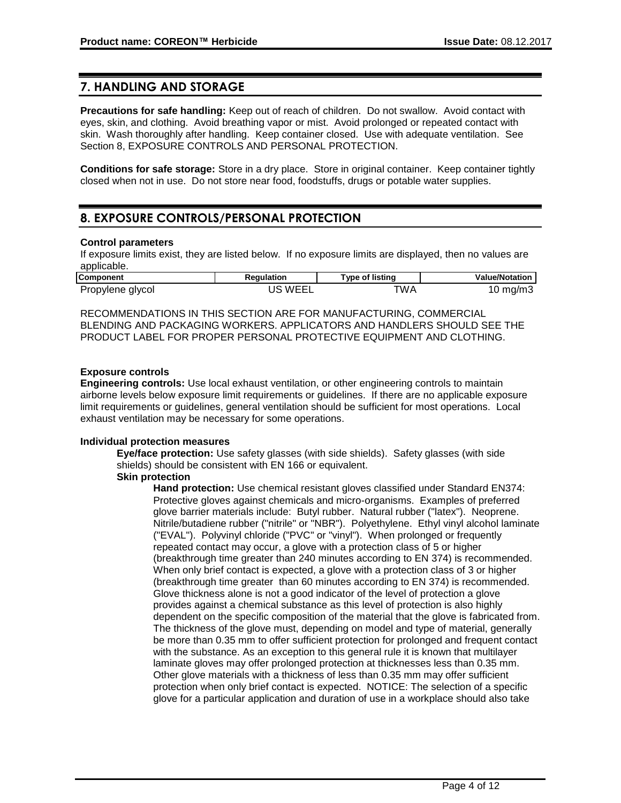## **7. HANDLING AND STORAGE**

**Precautions for safe handling:** Keep out of reach of children. Do not swallow. Avoid contact with eyes, skin, and clothing. Avoid breathing vapor or mist. Avoid prolonged or repeated contact with skin. Wash thoroughly after handling. Keep container closed. Use with adequate ventilation. See Section 8, EXPOSURE CONTROLS AND PERSONAL PROTECTION.

**Conditions for safe storage:** Store in a dry place. Store in original container. Keep container tightly closed when not in use. Do not store near food, foodstuffs, drugs or potable water supplies.

## **8. EXPOSURE CONTROLS/PERSONAL PROTECTION**

## **Control parameters**

If exposure limits exist, they are listed below. If no exposure limits are displayed, then no values are applicable.

| <b>Component</b> | Reaulation  | Type of listing  | <b>Value/Notation</b> |
|------------------|-------------|------------------|-----------------------|
| Propylene glycol | `WEEL<br>JS | TWA <sup>-</sup> | I0 mg/m3              |

RECOMMENDATIONS IN THIS SECTION ARE FOR MANUFACTURING, COMMERCIAL BLENDING AND PACKAGING WORKERS. APPLICATORS AND HANDLERS SHOULD SEE THE PRODUCT LABEL FOR PROPER PERSONAL PROTECTIVE EQUIPMENT AND CLOTHING.

## **Exposure controls**

**Engineering controls:** Use local exhaust ventilation, or other engineering controls to maintain airborne levels below exposure limit requirements or guidelines. If there are no applicable exposure limit requirements or guidelines, general ventilation should be sufficient for most operations. Local exhaust ventilation may be necessary for some operations.

## **Individual protection measures**

**Eye/face protection:** Use safety glasses (with side shields). Safety glasses (with side shields) should be consistent with EN 166 or equivalent.

## **Skin protection**

**Hand protection:** Use chemical resistant gloves classified under Standard EN374: Protective gloves against chemicals and micro-organisms. Examples of preferred glove barrier materials include: Butyl rubber. Natural rubber ("latex"). Neoprene. Nitrile/butadiene rubber ("nitrile" or "NBR"). Polyethylene. Ethyl vinyl alcohol laminate ("EVAL"). Polyvinyl chloride ("PVC" or "vinyl"). When prolonged or frequently repeated contact may occur, a glove with a protection class of 5 or higher (breakthrough time greater than 240 minutes according to EN 374) is recommended. When only brief contact is expected, a glove with a protection class of 3 or higher (breakthrough time greater than 60 minutes according to EN 374) is recommended. Glove thickness alone is not a good indicator of the level of protection a glove provides against a chemical substance as this level of protection is also highly dependent on the specific composition of the material that the glove is fabricated from. The thickness of the glove must, depending on model and type of material, generally be more than 0.35 mm to offer sufficient protection for prolonged and frequent contact with the substance. As an exception to this general rule it is known that multilayer laminate gloves may offer prolonged protection at thicknesses less than 0.35 mm. Other glove materials with a thickness of less than 0.35 mm may offer sufficient protection when only brief contact is expected. NOTICE: The selection of a specific glove for a particular application and duration of use in a workplace should also take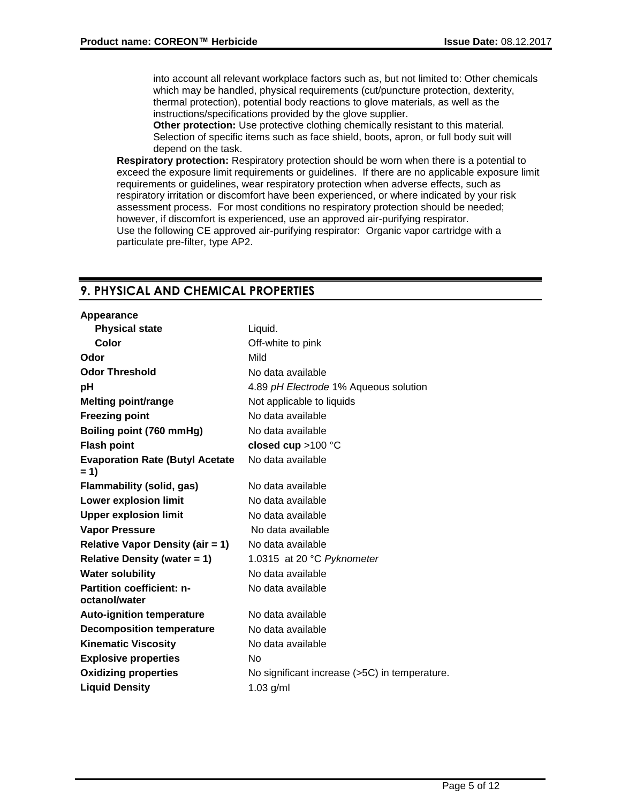into account all relevant workplace factors such as, but not limited to: Other chemicals which may be handled, physical requirements (cut/puncture protection, dexterity, thermal protection), potential body reactions to glove materials, as well as the instructions/specifications provided by the glove supplier.

**Other protection:** Use protective clothing chemically resistant to this material. Selection of specific items such as face shield, boots, apron, or full body suit will depend on the task.

**Respiratory protection:** Respiratory protection should be worn when there is a potential to exceed the exposure limit requirements or guidelines. If there are no applicable exposure limit requirements or guidelines, wear respiratory protection when adverse effects, such as respiratory irritation or discomfort have been experienced, or where indicated by your risk assessment process. For most conditions no respiratory protection should be needed; however, if discomfort is experienced, use an approved air-purifying respirator. Use the following CE approved air-purifying respirator: Organic vapor cartridge with a particulate pre-filter, type AP2.

## **9. PHYSICAL AND CHEMICAL PROPERTIES**

| Appearance                                        |                                               |
|---------------------------------------------------|-----------------------------------------------|
| <b>Physical state</b>                             | Liquid.                                       |
| Color                                             | Off-white to pink                             |
| Odor                                              | Mild                                          |
| <b>Odor Threshold</b>                             | No data available                             |
| рH                                                | 4.89 pH Electrode 1% Aqueous solution         |
| <b>Melting point/range</b>                        | Not applicable to liquids                     |
| <b>Freezing point</b>                             | No data available                             |
| Boiling point (760 mmHg)                          | No data available                             |
| <b>Flash point</b>                                | closed cup $>100$ °C                          |
| <b>Evaporation Rate (Butyl Acetate</b><br>$= 1$   | No data available                             |
| <b>Flammability (solid, gas)</b>                  | No data available                             |
| <b>Lower explosion limit</b>                      | No data available                             |
| <b>Upper explosion limit</b>                      | No data available                             |
| <b>Vapor Pressure</b>                             | No data available                             |
| <b>Relative Vapor Density (air = 1)</b>           | No data available                             |
| <b>Relative Density (water = 1)</b>               | 1.0315 at 20 °C Pyknometer                    |
| <b>Water solubility</b>                           | No data available                             |
| <b>Partition coefficient: n-</b><br>octanol/water | No data available                             |
| <b>Auto-ignition temperature</b>                  | No data available                             |
| <b>Decomposition temperature</b>                  | No data available                             |
| <b>Kinematic Viscosity</b>                        | No data available                             |
| <b>Explosive properties</b>                       | No                                            |
| <b>Oxidizing properties</b>                       | No significant increase (>5C) in temperature. |
| <b>Liquid Density</b>                             | $1.03$ g/ml                                   |
|                                                   |                                               |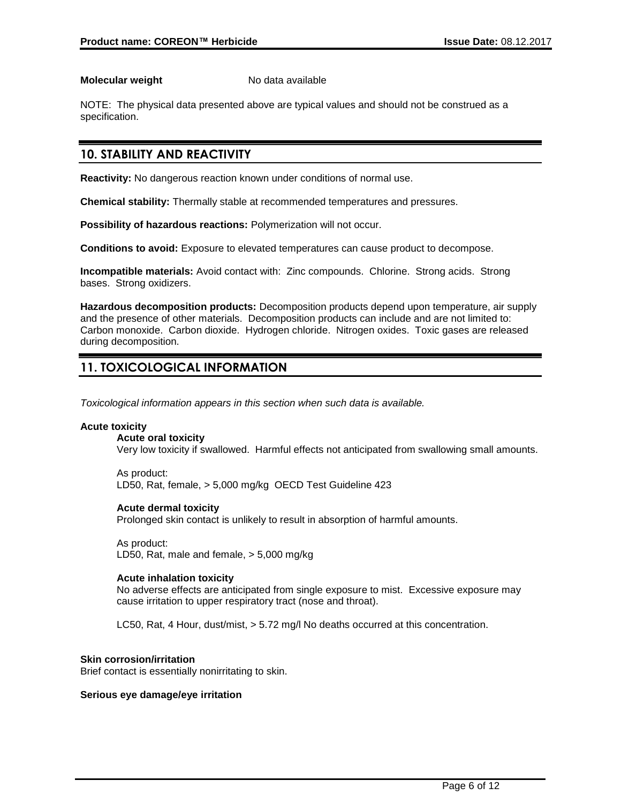### **Molecular weight** No data available

NOTE: The physical data presented above are typical values and should not be construed as a specification.

## **10. STABILITY AND REACTIVITY**

**Reactivity:** No dangerous reaction known under conditions of normal use.

**Chemical stability:** Thermally stable at recommended temperatures and pressures.

**Possibility of hazardous reactions:** Polymerization will not occur.

**Conditions to avoid:** Exposure to elevated temperatures can cause product to decompose.

**Incompatible materials:** Avoid contact with: Zinc compounds. Chlorine. Strong acids. Strong bases. Strong oxidizers.

**Hazardous decomposition products:** Decomposition products depend upon temperature, air supply and the presence of other materials. Decomposition products can include and are not limited to: Carbon monoxide. Carbon dioxide. Hydrogen chloride. Nitrogen oxides. Toxic gases are released during decomposition.

## **11. TOXICOLOGICAL INFORMATION**

*Toxicological information appears in this section when such data is available.*

## **Acute toxicity**

**Acute oral toxicity**

Very low toxicity if swallowed. Harmful effects not anticipated from swallowing small amounts.

As product: LD50, Rat, female, > 5,000 mg/kg OECD Test Guideline 423

## **Acute dermal toxicity**

Prolonged skin contact is unlikely to result in absorption of harmful amounts.

As product: LD50, Rat, male and female, > 5,000 mg/kg

## **Acute inhalation toxicity**

No adverse effects are anticipated from single exposure to mist. Excessive exposure may cause irritation to upper respiratory tract (nose and throat).

LC50, Rat, 4 Hour, dust/mist, > 5.72 mg/l No deaths occurred at this concentration.

## **Skin corrosion/irritation**

Brief contact is essentially nonirritating to skin.

#### **Serious eye damage/eye irritation**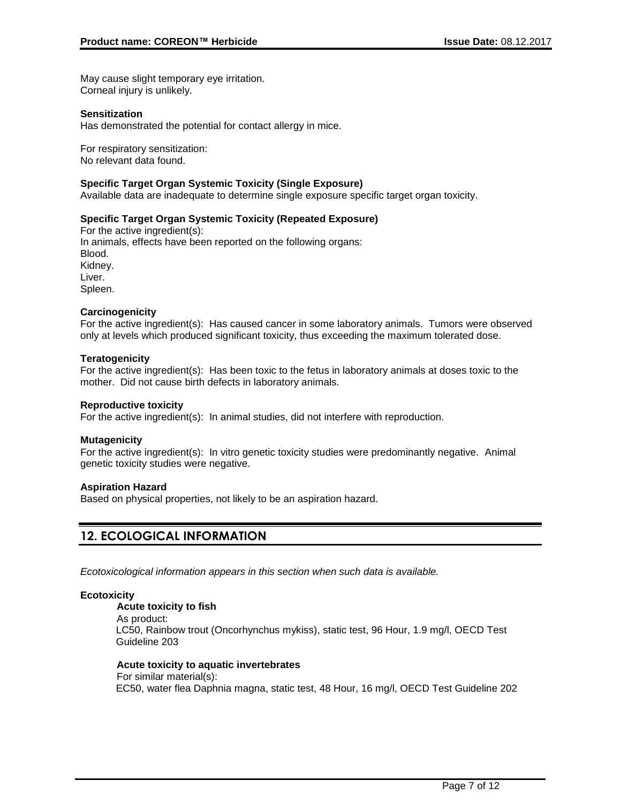May cause slight temporary eye irritation. Corneal injury is unlikely.

## **Sensitization**

Has demonstrated the potential for contact allergy in mice.

For respiratory sensitization: No relevant data found.

#### **Specific Target Organ Systemic Toxicity (Single Exposure)**

Available data are inadequate to determine single exposure specific target organ toxicity.

## **Specific Target Organ Systemic Toxicity (Repeated Exposure)**

For the active ingredient(s): In animals, effects have been reported on the following organs: Blood. Kidney. Liver. Spleen.

#### **Carcinogenicity**

For the active ingredient(s): Has caused cancer in some laboratory animals. Tumors were observed only at levels which produced significant toxicity, thus exceeding the maximum tolerated dose.

#### **Teratogenicity**

For the active ingredient(s): Has been toxic to the fetus in laboratory animals at doses toxic to the mother. Did not cause birth defects in laboratory animals.

#### **Reproductive toxicity**

For the active ingredient(s): In animal studies, did not interfere with reproduction.

## **Mutagenicity**

For the active ingredient(s): In vitro genetic toxicity studies were predominantly negative. Animal genetic toxicity studies were negative.

#### **Aspiration Hazard**

Based on physical properties, not likely to be an aspiration hazard.

## **12. ECOLOGICAL INFORMATION**

*Ecotoxicological information appears in this section when such data is available.*

## **Ecotoxicity**

## **Acute toxicity to fish**

As product: LC50, Rainbow trout (Oncorhynchus mykiss), static test, 96 Hour, 1.9 mg/l, OECD Test Guideline 203

#### **Acute toxicity to aquatic invertebrates**

For similar material(s): EC50, water flea Daphnia magna, static test, 48 Hour, 16 mg/l, OECD Test Guideline 202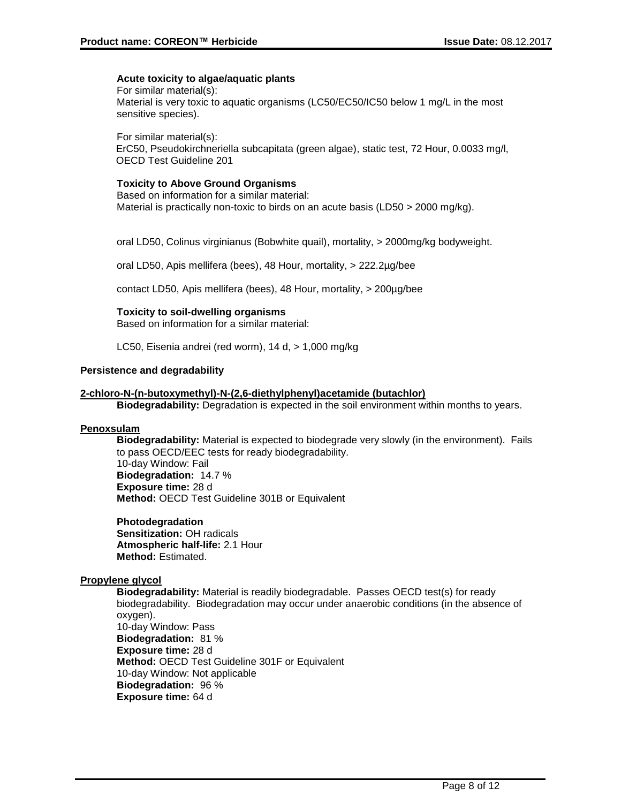### **Acute toxicity to algae/aquatic plants**

For similar material(s): Material is very toxic to aquatic organisms (LC50/EC50/IC50 below 1 mg/L in the most sensitive species).

For similar material(s):

ErC50, Pseudokirchneriella subcapitata (green algae), static test, 72 Hour, 0.0033 mg/l, OECD Test Guideline 201

## **Toxicity to Above Ground Organisms**

Based on information for a similar material: Material is practically non-toxic to birds on an acute basis (LD50 > 2000 mg/kg).

oral LD50, Colinus virginianus (Bobwhite quail), mortality, > 2000mg/kg bodyweight.

oral LD50, Apis mellifera (bees), 48 Hour, mortality, > 222.2µg/bee

contact LD50, Apis mellifera (bees), 48 Hour, mortality, > 200µg/bee

#### **Toxicity to soil-dwelling organisms**

Based on information for a similar material:

LC50, Eisenia andrei (red worm), 14 d, > 1,000 mg/kg

### **Persistence and degradability**

#### **2-chloro-N-(n-butoxymethyl)-N-(2,6-diethylphenyl)acetamide (butachlor)**

**Biodegradability:** Degradation is expected in the soil environment within months to years.

#### **Penoxsulam**

**Biodegradability:** Material is expected to biodegrade very slowly (in the environment). Fails to pass OECD/EEC tests for ready biodegradability. 10-day Window: Fail **Biodegradation:** 14.7 % **Exposure time:** 28 d **Method:** OECD Test Guideline 301B or Equivalent

**Photodegradation Sensitization:** OH radicals **Atmospheric half-life:** 2.1 Hour **Method:** Estimated.

## **Propylene glycol**

**Biodegradability:** Material is readily biodegradable. Passes OECD test(s) for ready biodegradability. Biodegradation may occur under anaerobic conditions (in the absence of oxygen). 10-day Window: Pass **Biodegradation:** 81 % **Exposure time:** 28 d **Method:** OECD Test Guideline 301F or Equivalent 10-day Window: Not applicable **Biodegradation:** 96 % **Exposure time:** 64 d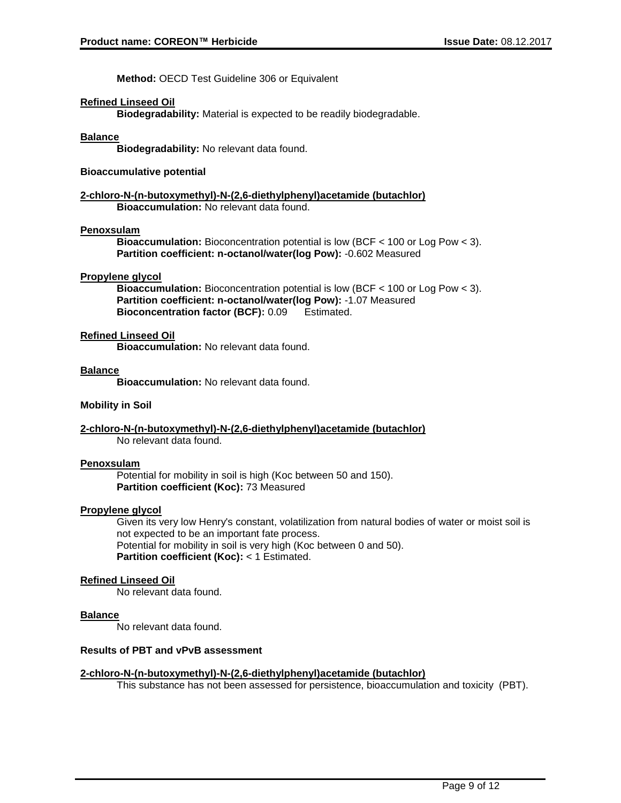**Method:** OECD Test Guideline 306 or Equivalent

## **Refined Linseed Oil**

**Biodegradability:** Material is expected to be readily biodegradable.

#### **Balance**

**Biodegradability:** No relevant data found.

## **Bioaccumulative potential**

#### **2-chloro-N-(n-butoxymethyl)-N-(2,6-diethylphenyl)acetamide (butachlor) Bioaccumulation:** No relevant data found.

#### **Penoxsulam**

**Bioaccumulation:** Bioconcentration potential is low (BCF < 100 or Log Pow < 3). **Partition coefficient: n-octanol/water(log Pow):** -0.602 Measured

#### **Propylene glycol**

**Bioaccumulation:** Bioconcentration potential is low (BCF < 100 or Log Pow < 3). **Partition coefficient: n-octanol/water(log Pow):** -1.07 Measured **Bioconcentration factor (BCF):** 0.09 Estimated.

#### **Refined Linseed Oil**

**Bioaccumulation:** No relevant data found.

#### **Balance**

**Bioaccumulation:** No relevant data found.

#### **Mobility in Soil**

#### **2-chloro-N-(n-butoxymethyl)-N-(2,6-diethylphenyl)acetamide (butachlor)** No relevant data found.

#### **Penoxsulam**

Potential for mobility in soil is high (Koc between 50 and 150). **Partition coefficient (Koc):** 73 Measured

#### **Propylene glycol**

Given its very low Henry's constant, volatilization from natural bodies of water or moist soil is not expected to be an important fate process. Potential for mobility in soil is very high (Koc between 0 and 50). **Partition coefficient (Koc):** < 1 Estimated.

#### **Refined Linseed Oil**

No relevant data found.

#### **Balance**

No relevant data found.

## **Results of PBT and vPvB assessment**

#### **2-chloro-N-(n-butoxymethyl)-N-(2,6-diethylphenyl)acetamide (butachlor)**

This substance has not been assessed for persistence, bioaccumulation and toxicity (PBT).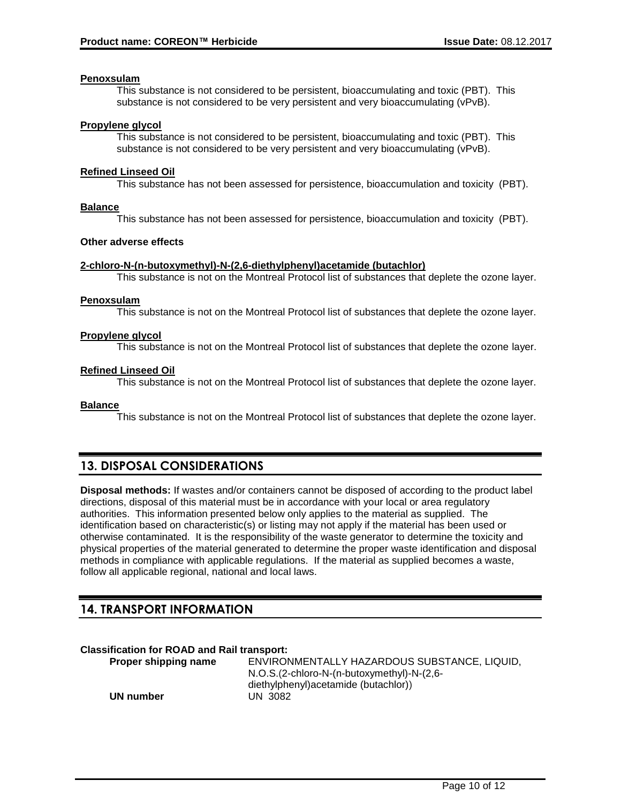## **Penoxsulam**

This substance is not considered to be persistent, bioaccumulating and toxic (PBT). This substance is not considered to be very persistent and very bioaccumulating (vPvB).

#### **Propylene glycol**

This substance is not considered to be persistent, bioaccumulating and toxic (PBT). This substance is not considered to be very persistent and very bioaccumulating (vPvB).

#### **Refined Linseed Oil**

This substance has not been assessed for persistence, bioaccumulation and toxicity (PBT).

#### **Balance**

This substance has not been assessed for persistence, bioaccumulation and toxicity (PBT).

#### **Other adverse effects**

#### **2-chloro-N-(n-butoxymethyl)-N-(2,6-diethylphenyl)acetamide (butachlor)**

This substance is not on the Montreal Protocol list of substances that deplete the ozone layer.

#### **Penoxsulam**

This substance is not on the Montreal Protocol list of substances that deplete the ozone layer.

#### **Propylene glycol**

This substance is not on the Montreal Protocol list of substances that deplete the ozone layer.

## **Refined Linseed Oil**

This substance is not on the Montreal Protocol list of substances that deplete the ozone layer.

#### **Balance**

This substance is not on the Montreal Protocol list of substances that deplete the ozone layer.

## **13. DISPOSAL CONSIDERATIONS**

**Disposal methods:** If wastes and/or containers cannot be disposed of according to the product label directions, disposal of this material must be in accordance with your local or area regulatory authorities. This information presented below only applies to the material as supplied. The identification based on characteristic(s) or listing may not apply if the material has been used or otherwise contaminated. It is the responsibility of the waste generator to determine the toxicity and physical properties of the material generated to determine the proper waste identification and disposal methods in compliance with applicable regulations. If the material as supplied becomes a waste, follow all applicable regional, national and local laws.

## **14. TRANSPORT INFORMATION**

## **Classification for ROAD and Rail transport:**

| Proper shipping name | ENVIRONMENTALLY HAZARDOUS SUBSTANCE, LIQUID, |
|----------------------|----------------------------------------------|
|                      | N.O.S.(2-chloro-N-(n-butoxymethyl)-N-(2,6-   |
|                      | diethylphenyl) acetamide (butachlor))        |
| UN number            | UN 3082                                      |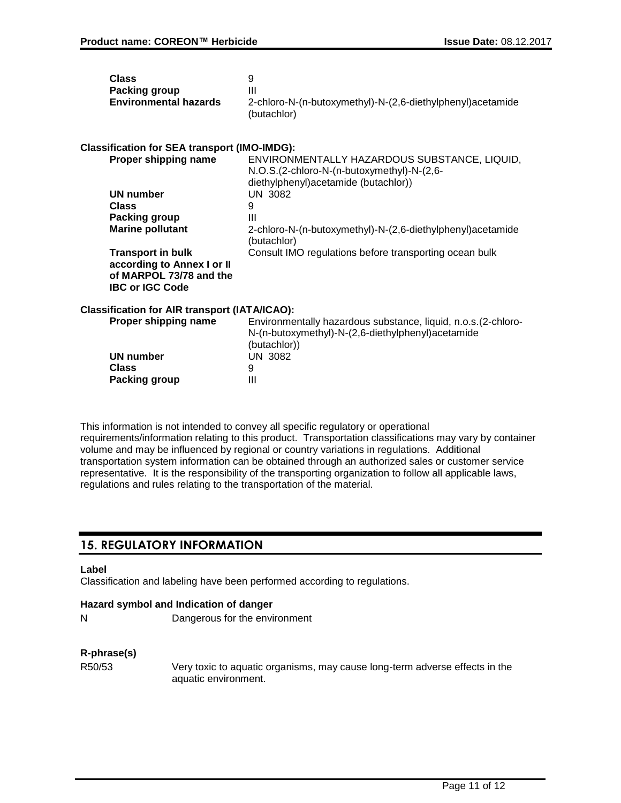| <b>Class</b>                 | g                                                           |
|------------------------------|-------------------------------------------------------------|
| Packing group                | Ш                                                           |
| <b>Environmental hazards</b> | 2-chloro-N-(n-butoxymethyl)-N-(2,6-diethylphenyl) acetamide |
|                              | (butachlor)                                                 |

## **Classification for SEA transport (IMO-IMDG):**

| Proper shipping name       | ENVIRONMENTALLY HAZARDOUS SUBSTANCE, LIQUID,                               |
|----------------------------|----------------------------------------------------------------------------|
|                            | N.O.S.(2-chloro-N-(n-butoxymethyl)-N-(2,6-                                 |
|                            | diethylphenyl) acetamide (butachlor))                                      |
| UN number                  | UN 3082                                                                    |
| <b>Class</b>               | 9                                                                          |
| Packing group              | Ш                                                                          |
| <b>Marine pollutant</b>    | 2-chloro-N-(n-butoxymethyl)-N-(2,6-diethylphenyl) acetamide<br>(butachlor) |
| <b>Transport in bulk</b>   | Consult IMO regulations before transporting ocean bulk                     |
| according to Annex I or II |                                                                            |
| of MARPOL 73/78 and the    |                                                                            |
| <b>IBC or IGC Code</b>     |                                                                            |

## **Classification for AIR transport (IATA/ICAO):**

| Proper shipping name | Environmentally hazardous substance, liquid, n.o.s. (2-chloro-<br>N-(n-butoxymethyl)-N-(2,6-diethylphenyl)acetamide |
|----------------------|---------------------------------------------------------------------------------------------------------------------|
| UN number            | (butachlor))<br>UN 3082                                                                                             |
| Class                | 9                                                                                                                   |
| Packing group        | Ш                                                                                                                   |

This information is not intended to convey all specific regulatory or operational requirements/information relating to this product. Transportation classifications may vary by container volume and may be influenced by regional or country variations in regulations. Additional transportation system information can be obtained through an authorized sales or customer service representative. It is the responsibility of the transporting organization to follow all applicable laws, regulations and rules relating to the transportation of the material.

## **15. REGULATORY INFORMATION**

## **Label**

Classification and labeling have been performed according to regulations.

## **Hazard symbol and Indication of danger**

N Dangerous for the environment

## **R-phrase(s)**

R50/53 Very toxic to aquatic organisms, may cause long-term adverse effects in the aquatic environment.